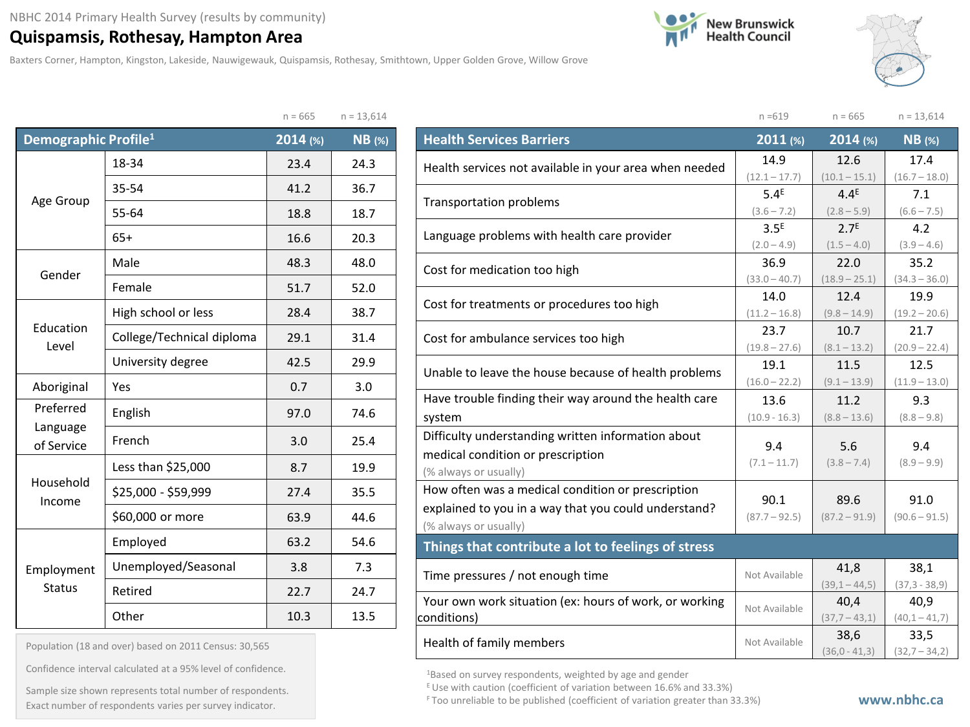## **Quispamsis, Rothesay, Hampton Area**

Baxters Corner, Hampton, Kingston, Lakeside, Nauwigewauk, Quispamsis, Rothesay, Smithtown, Upper Golden Grove, Willow Grove

 $n = CCT$   $n = 13,614$ 





|                                  |                           | $H = 00J$ | $11 - 13,014$ |
|----------------------------------|---------------------------|-----------|---------------|
| Demographic Profile <sup>1</sup> |                           | 2014 (%)  | <b>NB</b> (%) |
|                                  | 18-34                     | 23.4      | 24.3          |
|                                  | 35-54                     | 41.2      | 36.7          |
| Age Group                        | 55-64                     | 18.8      | 18.7          |
|                                  | $65+$                     | 16.6      | 20.3          |
| Gender                           | Male                      | 48.3      | 48.0          |
|                                  | Female                    | 51.7      | 52.0          |
|                                  | High school or less       | 28.4      | 38.7          |
| Education<br>Level               | College/Technical diploma | 29.1      | 31.4          |
|                                  | University degree         | 42.5      | 29.9          |
| Aboriginal                       | Yes                       | 0.7       | 3.0           |
| Preferred                        | English                   | 97.0      | 74.6          |
| Language<br>of Service           | French                    | 3.0       | 25.4          |
|                                  | Less than \$25,000        | 8.7       | 19.9          |
| Household<br>Income              | \$25,000 - \$59,999       | 27.4      | 35.5          |
|                                  | \$60,000 or more          | 63.9      | 44.6          |
|                                  | Employed                  | 63.2      | 54.6          |
| Employment                       | Unemployed/Seasonal       | 3.8       | 7.3           |
| <b>Status</b>                    | Retired                   | 22.7      | 24.7          |
|                                  | Other                     | 10.3      | 13.5          |

| Population (18 and over) based on 2011 Census: 30,565 |  |  |  |  |
|-------------------------------------------------------|--|--|--|--|
|-------------------------------------------------------|--|--|--|--|

Confidence interval calculated at a 95% level of confidence.

Exact number of respondents varies per survey indicator. **Exact number of respondents varies per survey** indicator. Sample size shown represents total number of respondents.

|                                                                       | $n = 619$                         | $n = 665$                         | $n = 13,614$            |
|-----------------------------------------------------------------------|-----------------------------------|-----------------------------------|-------------------------|
| <b>Health Services Barriers</b>                                       | 2011 (%)                          | 2014 (%)                          | $NB$ (%)                |
| Health services not available in your area when needed                | 14.9                              | 12.6                              | 17.4                    |
|                                                                       | $(12.1 - 17.7)$                   | $(10.1 - 15.1)$                   | $(16.7 - 18.0)$         |
| <b>Transportation problems</b>                                        | 5.4 <sup>E</sup>                  | $4.4^E$                           | 7.1                     |
|                                                                       | $(3.6 - 7.2)$                     | $(2.8 - 5.9)$                     | $(6.6 - 7.5)$           |
| Language problems with health care provider                           | 3.5 <sup>E</sup><br>$(2.0 - 4.9)$ | 2.7 <sup>E</sup><br>$(1.5 - 4.0)$ | 4.2<br>$(3.9 - 4.6)$    |
|                                                                       | 36.9                              | 22.0                              | 35.2                    |
| Cost for medication too high                                          | $(33.0 - 40.7)$                   | $(18.9 - 25.1)$                   | $(34.3 - 36.0)$         |
|                                                                       | 14.0                              | 12.4                              | 19.9                    |
| Cost for treatments or procedures too high                            | $(11.2 - 16.8)$                   | $(9.8 - 14.9)$                    | $(19.2 - 20.6)$         |
|                                                                       | 23.7                              | 10.7                              | 21.7                    |
| Cost for ambulance services too high                                  | $(19.8 - 27.6)$                   | $(8.1 - 13.2)$                    | $(20.9 - 22.4)$         |
| Unable to leave the house because of health problems                  | 19.1                              | 11.5                              | 12.5                    |
|                                                                       | $(16.0 - 22.2)$                   | $(9.1 - 13.9)$                    | $(11.9 - 13.0)$         |
| Have trouble finding their way around the health care                 | 13.6                              | 11.2                              | 9.3                     |
| system                                                                | $(10.9 - 16.3)$                   | $(8.8 - 13.6)$                    | $(8.8 - 9.8)$           |
| Difficulty understanding written information about                    | 9.4                               | 5.6                               | 9.4                     |
| medical condition or prescription                                     | $(7.1 - 11.7)$                    | $(3.8 - 7.4)$                     | $(8.9 - 9.9)$           |
| (% always or usually)                                                 |                                   |                                   |                         |
| How often was a medical condition or prescription                     | 90.1                              | 89.6                              | 91.0                    |
| explained to you in a way that you could understand?                  | $(87.7 - 92.5)$                   | $(87.2 - 91.9)$                   | $(90.6 - 91.5)$         |
| (% always or usually)                                                 |                                   |                                   |                         |
| Things that contribute a lot to feelings of stress                    |                                   |                                   |                         |
| Time pressures / not enough time                                      | Not Available                     | 41,8                              | 38,1                    |
|                                                                       |                                   | $(39,1 - 44,5)$                   | $(37, 3 - 38, 9)$       |
| Your own work situation (ex: hours of work, or working<br>conditions) | Not Available                     | 40,4<br>$(37,7 - 43,1)$           | 40,9<br>$(40,1 - 41,7)$ |
|                                                                       |                                   | 38,6                              | 33,5                    |
| Health of family members                                              | Not Available                     | $(36,0 - 41,3)$                   | $(32,7 - 34,2)$         |

1Based on survey respondents, weighted by age and gender

 $E$  Use with caution (coefficient of variation between 16.6% and 33.3%)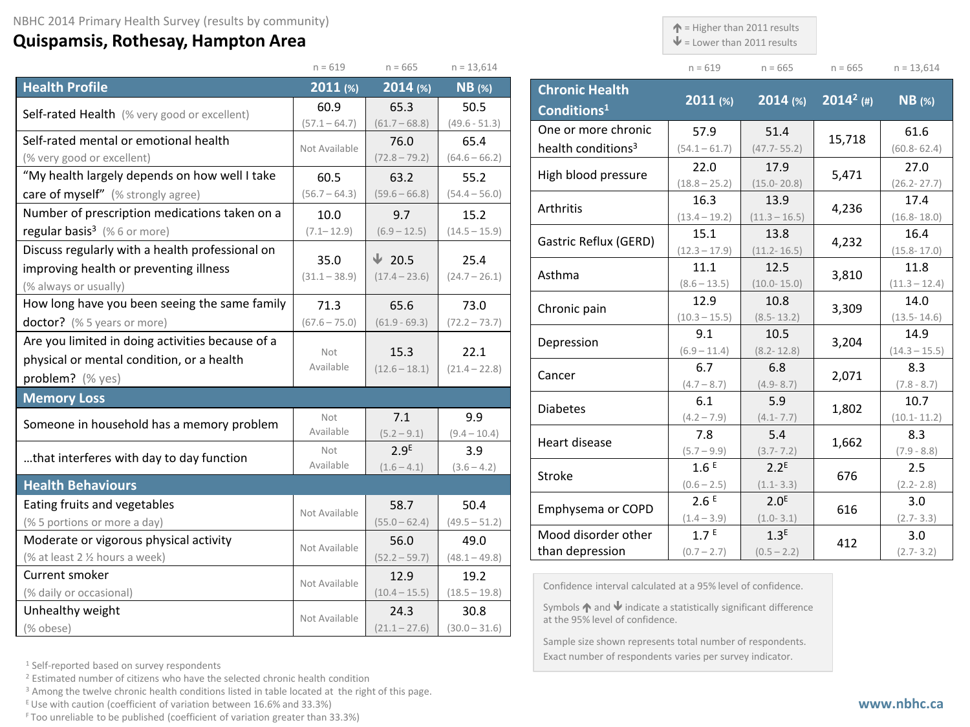## **Quispamsis, Rothesay, Hampton Area**

 $\uparrow$  = Higher than 2011 results

 $\blacklozenge$  = Lower than 2011 results

| $n = 619$     | $n = 665$                                                                                                                                                                                                  | $n = 13,614$                                                                                                                                                                     |                                                                                                                                                        |  | $n = 619$                                                                                                                                                                                                                                                                                                  | $n = 665$                                                                                                                                                                                                                                  | $n = 665$                                                                                                                                                                                                                                                                              | $n = 13,614$                                                                                                                                                                             |
|---------------|------------------------------------------------------------------------------------------------------------------------------------------------------------------------------------------------------------|----------------------------------------------------------------------------------------------------------------------------------------------------------------------------------|--------------------------------------------------------------------------------------------------------------------------------------------------------|--|------------------------------------------------------------------------------------------------------------------------------------------------------------------------------------------------------------------------------------------------------------------------------------------------------------|--------------------------------------------------------------------------------------------------------------------------------------------------------------------------------------------------------------------------------------------|----------------------------------------------------------------------------------------------------------------------------------------------------------------------------------------------------------------------------------------------------------------------------------------|------------------------------------------------------------------------------------------------------------------------------------------------------------------------------------------|
| $2011$ (%)    | $2014$ (%)                                                                                                                                                                                                 | $NB$ (%)                                                                                                                                                                         |                                                                                                                                                        |  |                                                                                                                                                                                                                                                                                                            |                                                                                                                                                                                                                                            |                                                                                                                                                                                                                                                                                        | $NB$ (%)                                                                                                                                                                                 |
| 60.9          | 65.3                                                                                                                                                                                                       | 50.5                                                                                                                                                                             | Conditions <sup>1</sup>                                                                                                                                |  |                                                                                                                                                                                                                                                                                                            |                                                                                                                                                                                                                                            |                                                                                                                                                                                                                                                                                        |                                                                                                                                                                                          |
|               |                                                                                                                                                                                                            |                                                                                                                                                                                  |                                                                                                                                                        |  | 57.9                                                                                                                                                                                                                                                                                                       |                                                                                                                                                                                                                                            |                                                                                                                                                                                                                                                                                        | 61.6                                                                                                                                                                                     |
| Not Available |                                                                                                                                                                                                            |                                                                                                                                                                                  |                                                                                                                                                        |  | $(54.1 - 61.7)$                                                                                                                                                                                                                                                                                            | $(47.7 - 55.2)$                                                                                                                                                                                                                            |                                                                                                                                                                                                                                                                                        | $(60.8 - 62.4)$                                                                                                                                                                          |
|               |                                                                                                                                                                                                            |                                                                                                                                                                                  |                                                                                                                                                        |  | 22.0                                                                                                                                                                                                                                                                                                       | 17.9                                                                                                                                                                                                                                       |                                                                                                                                                                                                                                                                                        | 27.0                                                                                                                                                                                     |
|               |                                                                                                                                                                                                            |                                                                                                                                                                                  |                                                                                                                                                        |  | $(18.8 - 25.2)$                                                                                                                                                                                                                                                                                            | $(15.0 - 20.8)$                                                                                                                                                                                                                            |                                                                                                                                                                                                                                                                                        | $(26.2 - 27.7)$                                                                                                                                                                          |
|               |                                                                                                                                                                                                            |                                                                                                                                                                                  |                                                                                                                                                        |  | 16.3                                                                                                                                                                                                                                                                                                       | 13.9                                                                                                                                                                                                                                       |                                                                                                                                                                                                                                                                                        | 17.4                                                                                                                                                                                     |
|               |                                                                                                                                                                                                            |                                                                                                                                                                                  |                                                                                                                                                        |  | $(13.4 - 19.2)$                                                                                                                                                                                                                                                                                            | $(11.3 - 16.5)$                                                                                                                                                                                                                            |                                                                                                                                                                                                                                                                                        | $(16.8 - 18.0)$                                                                                                                                                                          |
|               |                                                                                                                                                                                                            |                                                                                                                                                                                  |                                                                                                                                                        |  |                                                                                                                                                                                                                                                                                                            | 13.8                                                                                                                                                                                                                                       |                                                                                                                                                                                                                                                                                        | 16.4                                                                                                                                                                                     |
|               |                                                                                                                                                                                                            |                                                                                                                                                                                  |                                                                                                                                                        |  |                                                                                                                                                                                                                                                                                                            |                                                                                                                                                                                                                                            |                                                                                                                                                                                                                                                                                        | $(15.8 - 17.0)$                                                                                                                                                                          |
|               |                                                                                                                                                                                                            |                                                                                                                                                                                  |                                                                                                                                                        |  |                                                                                                                                                                                                                                                                                                            |                                                                                                                                                                                                                                            |                                                                                                                                                                                                                                                                                        | 11.8                                                                                                                                                                                     |
|               |                                                                                                                                                                                                            |                                                                                                                                                                                  |                                                                                                                                                        |  |                                                                                                                                                                                                                                                                                                            |                                                                                                                                                                                                                                            |                                                                                                                                                                                                                                                                                        | $(11.3 - 12.4)$                                                                                                                                                                          |
| 71.3          | 65.6                                                                                                                                                                                                       | 73.0                                                                                                                                                                             |                                                                                                                                                        |  |                                                                                                                                                                                                                                                                                                            |                                                                                                                                                                                                                                            | 3,309                                                                                                                                                                                                                                                                                  | 14.0                                                                                                                                                                                     |
|               |                                                                                                                                                                                                            | $(72.2 - 73.7)$                                                                                                                                                                  |                                                                                                                                                        |  |                                                                                                                                                                                                                                                                                                            |                                                                                                                                                                                                                                            |                                                                                                                                                                                                                                                                                        | $(13.5 - 14.6)$<br>14.9                                                                                                                                                                  |
|               |                                                                                                                                                                                                            |                                                                                                                                                                                  |                                                                                                                                                        |  |                                                                                                                                                                                                                                                                                                            |                                                                                                                                                                                                                                            | 3,204                                                                                                                                                                                                                                                                                  | $(14.3 - 15.5)$                                                                                                                                                                          |
|               |                                                                                                                                                                                                            |                                                                                                                                                                                  |                                                                                                                                                        |  |                                                                                                                                                                                                                                                                                                            |                                                                                                                                                                                                                                            |                                                                                                                                                                                                                                                                                        | 8.3                                                                                                                                                                                      |
|               |                                                                                                                                                                                                            |                                                                                                                                                                                  |                                                                                                                                                        |  |                                                                                                                                                                                                                                                                                                            |                                                                                                                                                                                                                                            |                                                                                                                                                                                                                                                                                        | $(7.8 - 8.7)$                                                                                                                                                                            |
|               |                                                                                                                                                                                                            |                                                                                                                                                                                  |                                                                                                                                                        |  | 6.1                                                                                                                                                                                                                                                                                                        | 5.9                                                                                                                                                                                                                                        |                                                                                                                                                                                                                                                                                        | 10.7                                                                                                                                                                                     |
| Not           | 9.9<br>7.1                                                                                                                                                                                                 |                                                                                                                                                                                  |                                                                                                                                                        |  | $(4.2 - 7.9)$                                                                                                                                                                                                                                                                                              | $(4.1 - 7.7)$                                                                                                                                                                                                                              |                                                                                                                                                                                                                                                                                        | $(10.1 - 11.2)$                                                                                                                                                                          |
| Available     | $(5.2 - 9.1)$                                                                                                                                                                                              | $(9.4 - 10.4)$                                                                                                                                                                   |                                                                                                                                                        |  | 7.8                                                                                                                                                                                                                                                                                                        | 5.4                                                                                                                                                                                                                                        |                                                                                                                                                                                                                                                                                        | 8.3                                                                                                                                                                                      |
| Not           | 2.9 <sup>E</sup>                                                                                                                                                                                           | 3.9                                                                                                                                                                              |                                                                                                                                                        |  | $(5.7 - 9.9)$                                                                                                                                                                                                                                                                                              | $(3.7 - 7.2)$                                                                                                                                                                                                                              |                                                                                                                                                                                                                                                                                        | $(7.9 - 8.8)$                                                                                                                                                                            |
| Available     | $(1.6 - 4.1)$                                                                                                                                                                                              | $(3.6 - 4.2)$                                                                                                                                                                    |                                                                                                                                                        |  | 1.6E                                                                                                                                                                                                                                                                                                       | $2.2^E$                                                                                                                                                                                                                                    |                                                                                                                                                                                                                                                                                        | 2.5                                                                                                                                                                                      |
|               |                                                                                                                                                                                                            |                                                                                                                                                                                  |                                                                                                                                                        |  | $(0.6 - 2.5)$                                                                                                                                                                                                                                                                                              | $(1.1 - 3.3)$                                                                                                                                                                                                                              |                                                                                                                                                                                                                                                                                        | $(2.2 - 2.8)$                                                                                                                                                                            |
|               | 58.7                                                                                                                                                                                                       | 50.4                                                                                                                                                                             |                                                                                                                                                        |  |                                                                                                                                                                                                                                                                                                            |                                                                                                                                                                                                                                            |                                                                                                                                                                                                                                                                                        | 3.0                                                                                                                                                                                      |
|               | $(55.0 - 62.4)$                                                                                                                                                                                            | $(49.5 - 51.2)$                                                                                                                                                                  |                                                                                                                                                        |  |                                                                                                                                                                                                                                                                                                            |                                                                                                                                                                                                                                            |                                                                                                                                                                                                                                                                                        | $(2.7 - 3.3)$                                                                                                                                                                            |
|               | 56.0                                                                                                                                                                                                       | 49.0                                                                                                                                                                             |                                                                                                                                                        |  |                                                                                                                                                                                                                                                                                                            |                                                                                                                                                                                                                                            | 412                                                                                                                                                                                                                                                                                    | 3.0                                                                                                                                                                                      |
|               | $(52.2 - 59.7)$                                                                                                                                                                                            | $(48.1 - 49.8)$                                                                                                                                                                  |                                                                                                                                                        |  |                                                                                                                                                                                                                                                                                                            |                                                                                                                                                                                                                                            |                                                                                                                                                                                                                                                                                        | $(2.7 - 3.2)$                                                                                                                                                                            |
| 12.9<br>19.2  |                                                                                                                                                                                                            |                                                                                                                                                                                  |                                                                                                                                                        |  |                                                                                                                                                                                                                                                                                                            |                                                                                                                                                                                                                                            |                                                                                                                                                                                                                                                                                        |                                                                                                                                                                                          |
|               | $(10.4 - 15.5)$                                                                                                                                                                                            | $(18.5 - 19.8)$                                                                                                                                                                  |                                                                                                                                                        |  |                                                                                                                                                                                                                                                                                                            |                                                                                                                                                                                                                                            |                                                                                                                                                                                                                                                                                        |                                                                                                                                                                                          |
|               | 24.3                                                                                                                                                                                                       | 30.8                                                                                                                                                                             |                                                                                                                                                        |  |                                                                                                                                                                                                                                                                                                            |                                                                                                                                                                                                                                            |                                                                                                                                                                                                                                                                                        |                                                                                                                                                                                          |
|               | $(21.1 - 27.6)$                                                                                                                                                                                            | $(30.0 - 31.6)$<br>$\sim$ $\sim$ $\sim$ $\sim$ $\sim$ $\sim$                                                                                                                     |                                                                                                                                                        |  |                                                                                                                                                                                                                                                                                                            |                                                                                                                                                                                                                                            |                                                                                                                                                                                                                                                                                        |                                                                                                                                                                                          |
|               | $(57.1 - 64.7)$<br>60.5<br>$(56.7 - 64.3)$<br>10.0<br>$(7.1 - 12.9)$<br>35.0<br>$(31.1 - 38.9)$<br>$(67.6 - 75.0)$<br>Not<br>Available<br>Not Available<br>Not Available<br>Not Available<br>Not Available | $(61.7 - 68.8)$<br>76.0<br>$(72.8 - 79.2)$<br>63.2<br>$(59.6 - 66.8)$<br>9.7<br>$(6.9 - 12.5)$<br>$\sqrt{20.5}$<br>$(17.4 - 23.6)$<br>$(61.9 - 69.3)$<br>15.3<br>$(12.6 - 18.1)$ | $(49.6 - 51.3)$<br>65.4<br>$(64.6 - 66.2)$<br>55.2<br>$(54.4 - 56.0)$<br>15.2<br>$(14.5 - 15.9)$<br>25.4<br>$(24.7 - 26.1)$<br>22.1<br>$(21.4 - 22.8)$ |  | <b>Chronic Health</b><br>One or more chronic<br>health conditions <sup>3</sup><br>High blood pressure<br>Arthritis<br>Gastric Reflux (GERD)<br>Asthma<br>Chronic pain<br>Depression<br>Cancer<br><b>Diabetes</b><br>Heart disease<br>Stroke<br>Emphysema or COPD<br>Mood disorder other<br>than depression | 2011 (%)<br>15.1<br>$(12.3 - 17.9)$<br>11.1<br>$(8.6 - 13.5)$<br>12.9<br>$(10.3 - 15.5)$<br>9.1<br>$(6.9 - 11.4)$<br>6.7<br>$(4.7 - 8.7)$<br>2.6E<br>$(1.4 - 3.9)$<br>1.7 <sup>E</sup><br>$(0.7 - 2.7)$<br>at the 95% level of confidence. | $2014$ (%)<br>51.4<br>$(11.2 - 16.5)$<br>12.5<br>$(10.0 - 15.0)$<br>10.8<br>$(8.5 - 13.2)$<br>10.5<br>$(8.2 - 12.8)$<br>6.8<br>$(4.9 - 8.7)$<br>2.0 <sup>E</sup><br>$(1.0 - 3.1)$<br>1.3 <sup>E</sup><br>$(0.5 - 2.2)$<br>Confidence interval calculated at a 95% level of confidence. | $2014^2$ (#)<br>15,718<br>5,471<br>4,236<br>4,232<br>3,810<br>2,071<br>1,802<br>1,662<br>676<br>616<br>Symbols $\bigwedge$ and $\bigvee$ indicate a statistically significant difference |

<sup>1</sup> Self-reported based on survey respondents

<sup>2</sup> Estimated number of citizens who have the selected chronic health condition

<sup>3</sup> Among the twelve chronic health conditions listed in table located at the right of this page.

 $E$  Use with caution (coefficient of variation between 16.6% and 33.3%)

F Too unreliable to be published (coefficient of variation greater than 33.3%)

Sample size shown represents total number of respondents. Exact number of respondents varies per survey indicator.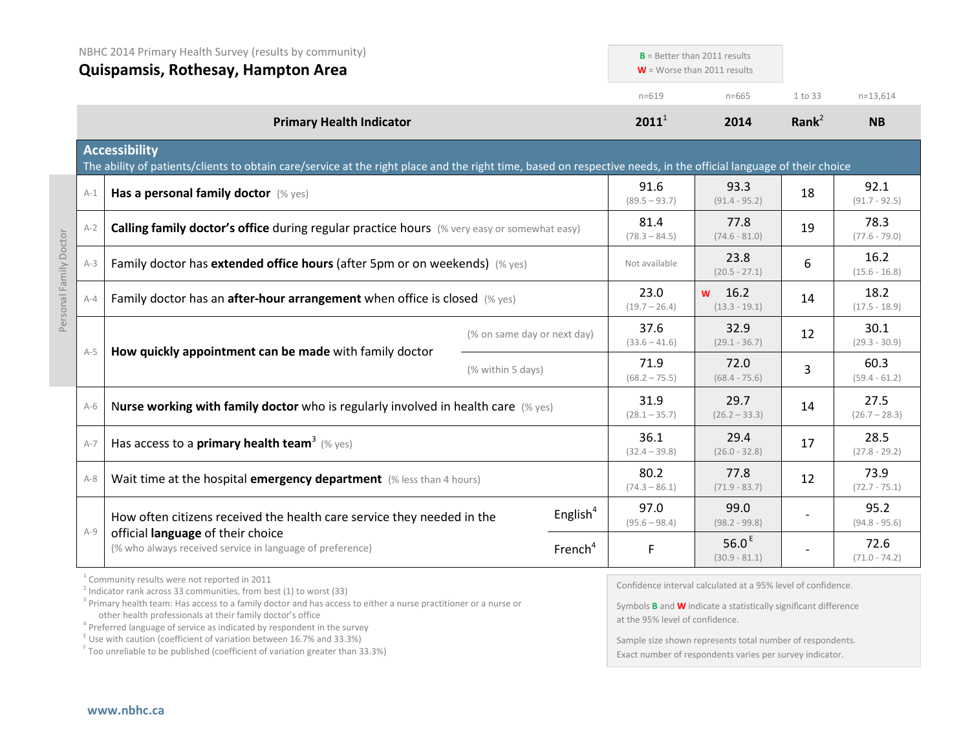|                        | NBHC 2014 Primary Health Survey (results by community)<br>Quispamsis, Rothesay, Hampton Area                                      |                                                                                                                                                                                           |                             | $B =$ Better than 2011 results<br>$W =$ Worse than 2011 results |                         |                                                              |                         |                         |
|------------------------|-----------------------------------------------------------------------------------------------------------------------------------|-------------------------------------------------------------------------------------------------------------------------------------------------------------------------------------------|-----------------------------|-----------------------------------------------------------------|-------------------------|--------------------------------------------------------------|-------------------------|-------------------------|
|                        |                                                                                                                                   |                                                                                                                                                                                           |                             |                                                                 |                         |                                                              |                         |                         |
|                        |                                                                                                                                   |                                                                                                                                                                                           |                             |                                                                 | $n = 619$               | $n = 665$                                                    | 1 to 33                 | $n=13,614$              |
|                        |                                                                                                                                   | <b>Primary Health Indicator</b>                                                                                                                                                           |                             |                                                                 | $2011^1$                | 2014                                                         | Rank $^2$               | <b>NB</b>               |
|                        |                                                                                                                                   | <b>Accessibility</b><br>The ability of patients/clients to obtain care/service at the right place and the right time, based on respective needs, in the official language of their choice |                             |                                                                 |                         |                                                              |                         |                         |
|                        | $A-1$                                                                                                                             | Has a personal family doctor (% yes)                                                                                                                                                      |                             |                                                                 | 91.6<br>$(89.5 - 93.7)$ | 93.3<br>$(91.4 - 95.2)$                                      | 18                      | 92.1<br>$(91.7 - 92.5)$ |
|                        | $A-2$                                                                                                                             | Calling family doctor's office during regular practice hours (% very easy or somewhat easy)                                                                                               |                             | 81.4<br>$(78.3 - 84.5)$                                         | 77.8<br>$(74.6 - 81.0)$ | 19                                                           | 78.3<br>$(77.6 - 79.0)$ |                         |
|                        | $A-3$                                                                                                                             | Family doctor has extended office hours (after 5pm or on weekends) (% yes)                                                                                                                | Not available               | 23.8<br>$(20.5 - 27.1)$                                         | 6                       | 16.2<br>$(15.6 - 16.8)$                                      |                         |                         |
| Personal Family Doctor | $A-4$                                                                                                                             | Family doctor has an <b>after-hour arrangement</b> when office is closed $(\%$ yes)                                                                                                       |                             |                                                                 |                         | 16.2<br><b>W</b><br>$(13.3 - 19.1)$                          | 14                      | 18.2<br>$(17.5 - 18.9)$ |
|                        | $A-5$                                                                                                                             | How quickly appointment can be made with family doctor                                                                                                                                    | (% on same day or next day) |                                                                 | 37.6<br>$(33.6 - 41.6)$ | 32.9<br>$(29.1 - 36.7)$                                      | 12                      | 30.1<br>$(29.3 - 30.9)$ |
|                        |                                                                                                                                   |                                                                                                                                                                                           | (% within 5 days)           |                                                                 | 71.9<br>$(68.2 - 75.5)$ | 72.0<br>$(68.4 - 75.6)$                                      | 3                       | 60.3<br>$(59.4 - 61.2)$ |
|                        | $A-6$                                                                                                                             | Nurse working with family doctor who is regularly involved in health care $(\%$ yes)                                                                                                      |                             |                                                                 | 31.9<br>$(28.1 - 35.7)$ | 29.7<br>$(26.2 - 33.3)$                                      | 14                      | 27.5<br>$(26.7 - 28.3)$ |
|                        | $A-7$                                                                                                                             | Has access to a <b>primary health team</b> <sup>3</sup> (% yes)                                                                                                                           |                             |                                                                 | 36.1<br>$(32.4 - 39.8)$ | 29.4<br>$(26.0 - 32.8)$                                      | 17                      | 28.5<br>$(27.8 - 29.2)$ |
|                        | $A-8$                                                                                                                             | Wait time at the hospital emergency department (% less than 4 hours)                                                                                                                      |                             |                                                                 | 80.2<br>$(74.3 - 86.1)$ | 77.8<br>$(71.9 - 83.7)$                                      | 12                      | 73.9<br>$(72.7 - 75.1)$ |
|                        | $A-9$                                                                                                                             | How often citizens received the health care service they needed in the<br>official language of their choice<br>(% who always received service in language of preference)                  |                             | English $4$                                                     | 97.0<br>$(95.6 - 98.4)$ | 99.0<br>$(98.2 - 99.8)$                                      |                         | 95.2<br>$(94.8 - 95.6)$ |
|                        |                                                                                                                                   |                                                                                                                                                                                           |                             | French <sup>4</sup>                                             | F                       | 56.0 $E$<br>$(30.9 - 81.1)$                                  |                         | 72.6<br>$(71.0 - 74.2)$ |
|                        | <sup>1</sup> Community results were not reported in 2011<br>$2$ Indicator rank across 33 communities, from best (1) to worst (33) |                                                                                                                                                                                           |                             |                                                                 |                         | Confidence interval calculated at a 95% level of confidence. |                         |                         |

<sup>3</sup> Primary health team: Has access to a family doctor and has access to either a nurse practitioner or a nurse or other health professionals at their family doctor's office

 $4$  Preferred language of service as indicated by respondent in the survey

 $E$  Use with caution (coefficient of variation between 16.7% and 33.3%)

<sup>F</sup> Too unreliable to be published (coefficient of variation greater than 33.3%)

Symbols **B** and **W** indicate a statistically significant difference at the 95% level of confidence.

Sample size shown represents total number of respondents. Exact number of respondents varies per survey indicator.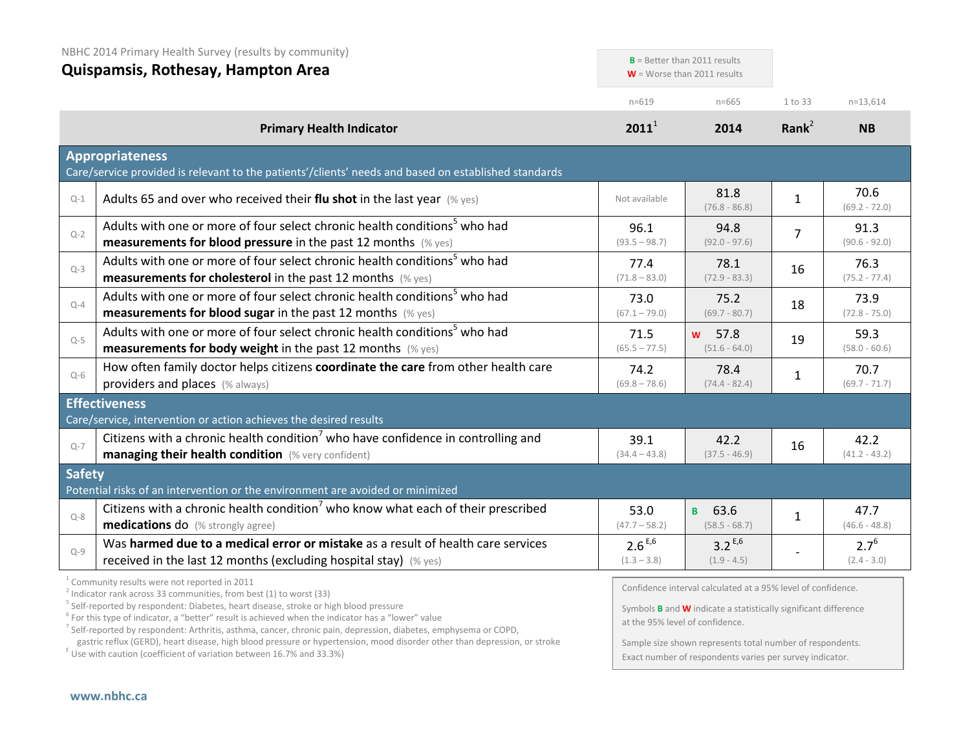|               | NBHC 2014 Primary Health Survey (results by community)<br>Quispamsis, Rothesay, Hampton Area                                                                                                                                                                                                                                                  |                              | $B =$ Better than 2011 results<br>$W =$ Worse than 2011 results                                                                                                                  |                |                            |
|---------------|-----------------------------------------------------------------------------------------------------------------------------------------------------------------------------------------------------------------------------------------------------------------------------------------------------------------------------------------------|------------------------------|----------------------------------------------------------------------------------------------------------------------------------------------------------------------------------|----------------|----------------------------|
|               |                                                                                                                                                                                                                                                                                                                                               | $n = 619$                    | $n = 665$                                                                                                                                                                        | 1 to 33        | $n=13,614$                 |
|               | <b>Primary Health Indicator</b>                                                                                                                                                                                                                                                                                                               | $2011^1$                     | 2014                                                                                                                                                                             | Rank $2$       | <b>NB</b>                  |
|               | <b>Appropriateness</b><br>Care/service provided is relevant to the patients'/clients' needs and based on established standards                                                                                                                                                                                                                |                              |                                                                                                                                                                                  |                |                            |
| $Q-1$         | Adults 65 and over who received their flu shot in the last year $(\%$ yes)                                                                                                                                                                                                                                                                    | Not available                | 81.8<br>$(76.8 - 86.8)$                                                                                                                                                          | $\mathbf{1}$   | 70.6<br>$(69.2 - 72.0)$    |
| $Q-2$         | Adults with one or more of four select chronic health conditions <sup>5</sup> who had<br><b>measurements for blood pressure</b> in the past 12 months $(\%$ yes)                                                                                                                                                                              | 96.1<br>$(93.5 - 98.7)$      | 94.8<br>$(92.0 - 97.6)$                                                                                                                                                          | $\overline{7}$ | 91.3<br>$(90.6 - 92.0)$    |
| $Q-3$         | Adults with one or more of four select chronic health conditions <sup>5</sup> who had<br>measurements for cholesterol in the past 12 months (% yes)                                                                                                                                                                                           | 77.4<br>$(71.8 - 83.0)$      | 78.1<br>$(72.9 - 83.3)$                                                                                                                                                          | 16             | 76.3<br>$(75.2 - 77.4)$    |
| $Q-4$         | Adults with one or more of four select chronic health conditions <sup>5</sup> who had<br><b>measurements for blood sugar in the past 12 months (% yes)</b>                                                                                                                                                                                    | 73.0<br>$(67.1 - 79.0)$      | 75.2<br>$(69.7 - 80.7)$                                                                                                                                                          | 18             | 73.9<br>$(72.8 - 75.0)$    |
| $Q-5$         | Adults with one or more of four select chronic health conditions <sup>5</sup> who had<br><b>measurements for body weight</b> in the past 12 months (% yes)                                                                                                                                                                                    | 71.5<br>$(65.5 - 77.5)$      | w 57.8<br>$(51.6 - 64.0)$                                                                                                                                                        | 19             | 59.3<br>$(58.0 - 60.6)$    |
| $Q-6$         | How often family doctor helps citizens coordinate the care from other health care<br>providers and places (% always)                                                                                                                                                                                                                          | 74.2<br>$(69.8 - 78.6)$      | 78.4<br>$(74.4 - 82.4)$                                                                                                                                                          | $\mathbf{1}$   | 70.7<br>$(69.7 - 71.7)$    |
|               | <b>Effectiveness</b><br>Care/service, intervention or action achieves the desired results                                                                                                                                                                                                                                                     |                              |                                                                                                                                                                                  |                |                            |
| $Q - 7$       | Citizens with a chronic health condition <sup>7</sup> who have confidence in controlling and<br>managing their health condition (% very confident)                                                                                                                                                                                            | 39.1<br>$(34.4 - 43.8)$      | 42.2<br>$(37.5 - 46.9)$                                                                                                                                                          | 16             | 42.2<br>$(41.2 - 43.2)$    |
| <b>Safety</b> | Potential risks of an intervention or the environment are avoided or minimized                                                                                                                                                                                                                                                                |                              |                                                                                                                                                                                  |                |                            |
| $Q - 8$       | Citizens with a chronic health condition <sup>7</sup> who know what each of their prescribed<br><b>medications do</b> (% strongly agree)                                                                                                                                                                                                      | 53.0<br>$(47.7 - 58.2)$      | 63.6<br>B<br>$(58.5 - 68.7)$                                                                                                                                                     | $\mathbf{1}$   | 47.7<br>$(46.6 - 48.8)$    |
| $Q - 9$       | Was harmed due to a medical error or mistake as a result of health care services<br>received in the last 12 months (excluding hospital stay) (% yes)                                                                                                                                                                                          | $2.6^{E,6}$<br>$(1.3 - 3.8)$ | $3.2^{E,6}$<br>$(1.9 - 4.5)$                                                                                                                                                     |                | $2.7^{6}$<br>$(2.4 - 3.0)$ |
|               | <sup>1</sup> Community results were not reported in 2011<br>$2$ Indicator rank across 33 communities, from best (1) to worst (33)<br><sup>5</sup> Self-reported by respondent: Diabetes, heart disease, stroke or high blood pressure<br>$6$ For this type of indicator, a "better" result is achieved when the indicator has a "lower" value |                              | Confidence interval calculated at a 95% level of confidence.<br>Symbols <b>B</b> and <b>W</b> indicate a statistically significant difference<br>at the 95% level of confidence. |                |                            |

<sup>7</sup> Self-reported by respondent: Arthritis, asthma, cancer, chronic pain, depression, diabetes, emphysema or COPD,

gastric reflux (GERD), heart disease, high blood pressure or hypertension, mood disorder other than depression, or stroke E Use with caution (coefficient of variation between 16.7% and 33.3%)

Sample size shown represents total number of respondents. Exact number of respondents varies per survey indicator.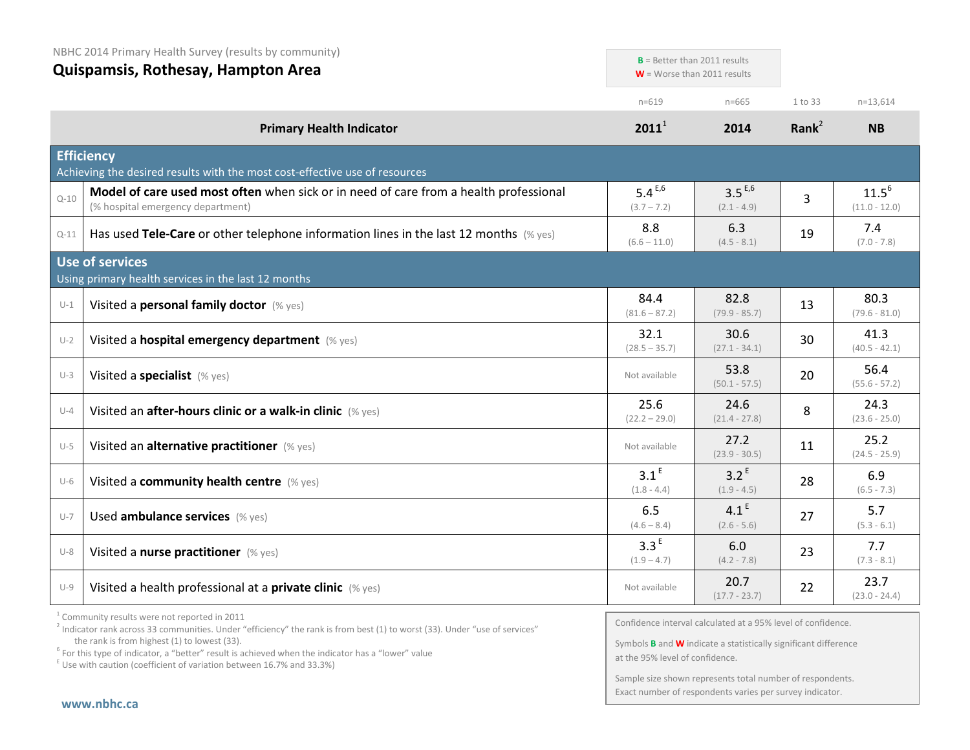| NBHC 2014 Primary Health Survey (results by community)<br>Quispamsis, Rothesay, Hampton Area |                                                                                                                            |                                   | $B =$ Better than 2011 results<br>$W =$ Worse than 2011 results |                   |                               |
|----------------------------------------------------------------------------------------------|----------------------------------------------------------------------------------------------------------------------------|-----------------------------------|-----------------------------------------------------------------|-------------------|-------------------------------|
|                                                                                              |                                                                                                                            | $n = 619$                         | $n = 665$                                                       | 1 to 33           | $n=13,614$                    |
|                                                                                              | <b>Primary Health Indicator</b>                                                                                            | $2011^1$                          | 2014                                                            | Rank <sup>2</sup> | <b>NB</b>                     |
|                                                                                              | <b>Efficiency</b><br>Achieving the desired results with the most cost-effective use of resources                           |                                   |                                                                 |                   |                               |
| $Q - 10$                                                                                     | Model of care used most often when sick or in need of care from a health professional<br>(% hospital emergency department) | $5.4^{E,6}$<br>$(3.7 - 7.2)$      | $3.5^{E,6}$<br>$(2.1 - 4.9)$                                    | 3                 | $11.5^{6}$<br>$(11.0 - 12.0)$ |
| $Q-11$                                                                                       | Has used Tele-Care or other telephone information lines in the last 12 months $(\%$ yes)                                   | 8.8<br>$(6.6 - 11.0)$             | 6.3<br>$(4.5 - 8.1)$                                            | 19                | 7.4<br>$(7.0 - 7.8)$          |
|                                                                                              | <b>Use of services</b><br>Using primary health services in the last 12 months                                              |                                   |                                                                 |                   |                               |
| $U-1$                                                                                        | Visited a personal family doctor (% yes)                                                                                   | 84.4<br>$(81.6 - 87.2)$           | 82.8<br>$(79.9 - 85.7)$                                         | 13                | 80.3<br>$(79.6 - 81.0)$       |
| $U-2$                                                                                        | Visited a hospital emergency department (% yes)                                                                            | 32.1<br>$(28.5 - 35.7)$           | 30.6<br>$(27.1 - 34.1)$                                         | 30                | 41.3<br>$(40.5 - 42.1)$       |
| $U-3$                                                                                        | Visited a specialist (% yes)                                                                                               | Not available                     | 53.8<br>$(50.1 - 57.5)$                                         | 20                | 56.4<br>$(55.6 - 57.2)$       |
| $U-4$                                                                                        | Visited an after-hours clinic or a walk-in clinic (% yes)                                                                  | 25.6<br>$(22.2 - 29.0)$           | 24.6<br>$(21.4 - 27.8)$                                         | 8                 | 24.3<br>$(23.6 - 25.0)$       |
| $U-5$                                                                                        | Visited an alternative practitioner (% yes)                                                                                | Not available                     | 27.2<br>$(23.9 - 30.5)$                                         | 11                | 25.2<br>$(24.5 - 25.9)$       |
| $U-6$                                                                                        | Visited a community health centre (% yes)                                                                                  | 3.1 <sup>E</sup><br>$(1.8 - 4.4)$ | 3.2 <sup>E</sup><br>$(1.9 - 4.5)$                               | 28                | 6.9<br>$(6.5 - 7.3)$          |
| $U-7$                                                                                        | Used ambulance services (% yes)                                                                                            | 6.5<br>$(4.6 - 8.4)$              | 4.1 <sup>E</sup><br>$(2.6 - 5.6)$                               | 27                | 5.7<br>$(5.3 - 6.1)$          |
| $U-8$                                                                                        | Visited a nurse practitioner (% yes)                                                                                       | 3.3 <sup>E</sup><br>$(1.9 - 4.7)$ | 6.0<br>$(4.2 - 7.8)$                                            | 23                | 7.7<br>$(7.3 - 8.1)$          |
| $U-9$                                                                                        | Visited a health professional at a <b>private clinic</b> (% yes)                                                           | Not available                     | 20.7<br>$(17.7 - 23.7)$                                         | 22                | 23.7<br>$(23.0 - 24.4)$       |

 $1$  Community results were not reported in 2011

Confidence interval calculated at a 95% level of confidence.

Symbols **B** and **W** indicate a statistically significant difference at the 95% level of confidence.

Sample size shown represents total number of respondents. Exact number of respondents varies per survey indicator.

<sup>&</sup>lt;sup>2</sup> Indicator rank across 33 communities. Under "efficiency" the rank is from best (1) to worst (33). Under "use of services" the rank is from highest (1) to lowest (33).

the rank is from highest (1) to lowest (33).<br><sup>6</sup> For this type of indicator, a "better" result is achieved when the indicator has a "lower" value

 $E$  Use with caution (coefficient of variation between 16.7% and 33.3%)